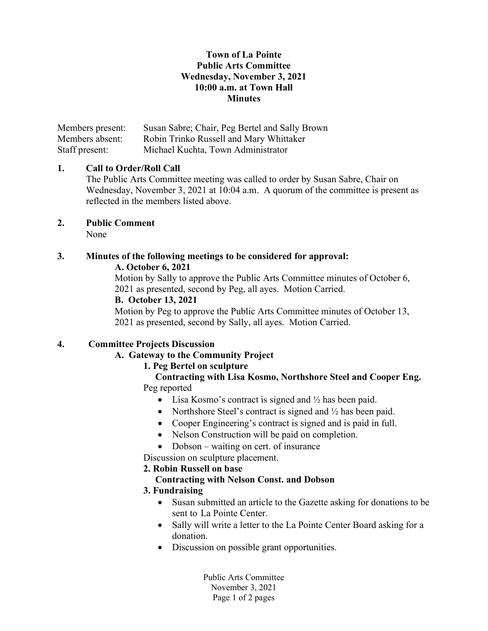### Town of La Pointe Public Arts Committee Wednesday, November 3, 2021 10:00 a.m. at Town Hall **Minutes**

Members present: Susan Sabre; Chair, Peg Bertel and Sally Brown Members absent: Robin Trinko Russell and Mary Whittaker Staff present: Michael Kuchta, Town Administrator

# 1. Call to Order/Roll Call

The Public Arts Committee meeting was called to order by Susan Sabre, Chair on Wednesday, November 3, 2021 at 10:04 a.m. A quorum of the committee is present as reflected in the members listed above.

2. Public Comment

None

# 3. Minutes of the following meetings to be considered for approval: A. October 6, 2021

Motion by Sally to approve the Public Arts Committee minutes of October 6, 2021 as presented, second by Peg, all ayes. Motion Carried.

#### B. October 13, 2021

Motion by Peg to approve the Public Arts Committee minutes of October 13, 2021 as presented, second by Sally, all ayes. Motion Carried.

# 4. Committee Projects Discussion

# A. Gateway to the Community Project

# 1. Peg Bertel on sculpture

#### Contracting with Lisa Kosmo, Northshore Steel and Cooper Eng. Peg reported

- Lisa Kosmo's contract is signed and  $\frac{1}{2}$  has been paid.
- Northshore Steel's contract is signed and  $\frac{1}{2}$  has been paid.
- Cooper Engineering's contract is signed and is paid in full.
- Nelson Construction will be paid on completion.
- Dobson waiting on cert. of insurance
- Discussion on sculpture placement.

# 2. Robin Russell on base

#### Contracting with Nelson Const. and Dobson

# 3. Fundraising

- Susan submitted an article to the Gazette asking for donations to be sent to La Pointe Center.
- Sally will write a letter to the La Pointe Center Board asking for a donation.
- Discussion on possible grant opportunities.

Public Arts Committee November 3, 2021 Page 1 of 2 pages